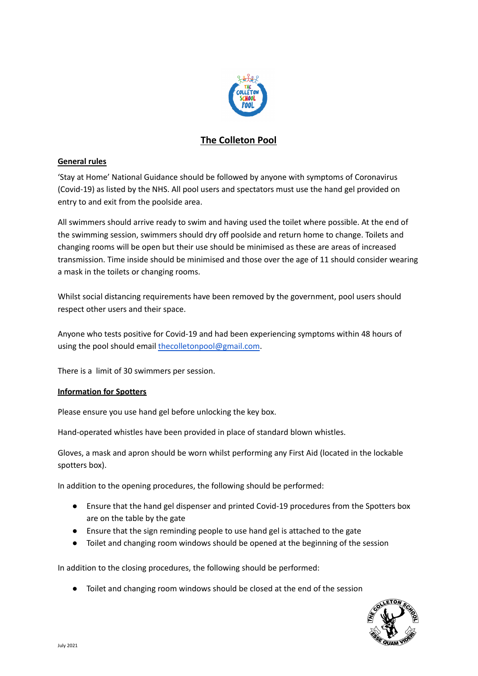

# **The Colleton Pool**

# **General rules**

'Stay at Home' National Guidance should be followed by anyone with symptoms of Coronavirus (Covid-19) as listed by the NHS. All pool users and spectators must use the hand gel provided on entry to and exit from the poolside area.

All swimmers should arrive ready to swim and having used the toilet where possible. At the end of the swimming session, swimmers should dry off poolside and return home to change. Toilets and changing rooms will be open but their use should be minimised as these are areas of increased transmission. Time inside should be minimised and those over the age of 11 should consider wearing a mask in the toilets or changing rooms.

Whilst social distancing requirements have been removed by the government, pool users should respect other users and their space.

Anyone who tests positive for Covid-19 and had been experiencing symptoms within 48 hours of using the pool should email [thecolletonpool@gmail.com](mailto:thecolletonpool@gmail.com).

There is a limit of 30 swimmers per session.

## **Information for Spotters**

Please ensure you use hand gel before unlocking the key box.

Hand-operated whistles have been provided in place of standard blown whistles.

Gloves, a mask and apron should be worn whilst performing any First Aid (located in the lockable spotters box).

In addition to the opening procedures, the following should be performed:

- Ensure that the hand gel dispenser and printed Covid-19 procedures from the Spotters box are on the table by the gate
- Ensure that the sign reminding people to use hand gel is attached to the gate
- Toilet and changing room windows should be opened at the beginning of the session

In addition to the closing procedures, the following should be performed:

● Toilet and changing room windows should be closed at the end of the session

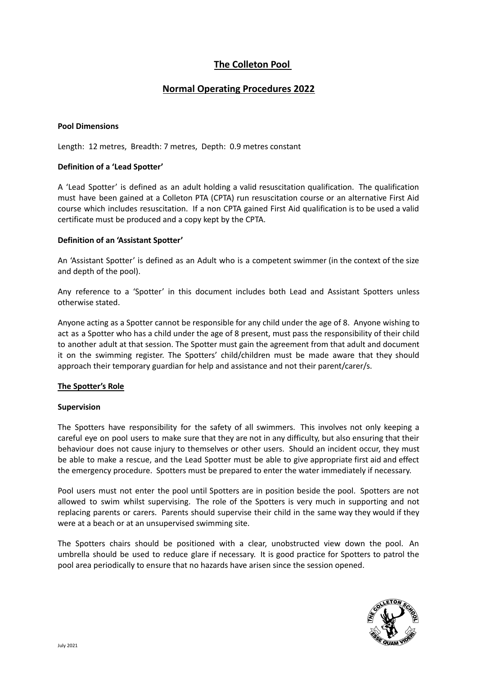# **The Colleton Pool**

# **Normal Operating Procedures 2022**

#### **Pool Dimensions**

Length: 12 metres, Breadth: 7 metres, Depth: 0.9 metres constant

#### **Definition of a 'Lead Spotter'**

A 'Lead Spotter' is defined as an adult holding a valid resuscitation qualification. The qualification must have been gained at a Colleton PTA (CPTA) run resuscitation course or an alternative First Aid course which includes resuscitation. If a non CPTA gained First Aid qualification is to be used a valid certificate must be produced and a copy kept by the CPTA.

#### **Definition of an 'Assistant Spotter'**

An 'Assistant Spotter' is defined as an Adult who is a competent swimmer (in the context of the size and depth of the pool).

Any reference to a 'Spotter' in this document includes both Lead and Assistant Spotters unless otherwise stated.

Anyone acting as a Spotter cannot be responsible for any child under the age of 8. Anyone wishing to act as a Spotter who has a child under the age of 8 present, must pass the responsibility of their child to another adult at that session. The Spotter must gain the agreement from that adult and document it on the swimming register. The Spotters' child/children must be made aware that they should approach their temporary guardian for help and assistance and not their parent/carer/s.

#### **The Spotter's Role**

#### **Supervision**

The Spotters have responsibility for the safety of all swimmers. This involves not only keeping a careful eye on pool users to make sure that they are not in any difficulty, but also ensuring that their behaviour does not cause injury to themselves or other users. Should an incident occur, they must be able to make a rescue, and the Lead Spotter must be able to give appropriate first aid and effect the emergency procedure. Spotters must be prepared to enter the water immediately if necessary.

Pool users must not enter the pool until Spotters are in position beside the pool. Spotters are not allowed to swim whilst supervising. The role of the Spotters is very much in supporting and not replacing parents or carers. Parents should supervise their child in the same way they would if they were at a beach or at an unsupervised swimming site.

The Spotters chairs should be positioned with a clear, unobstructed view down the pool. An umbrella should be used to reduce glare if necessary. It is good practice for Spotters to patrol the pool area periodically to ensure that no hazards have arisen since the session opened.

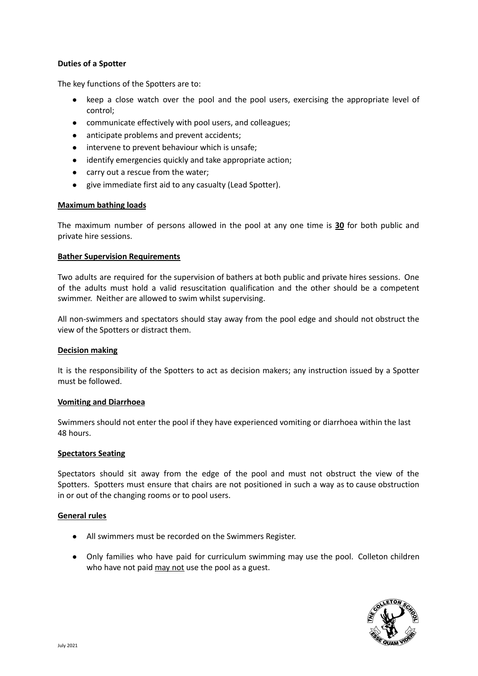#### **Duties of a Spotter**

The key functions of the Spotters are to:

- keep a close watch over the pool and the pool users, exercising the appropriate level of control;
- communicate effectively with pool users, and colleagues;
- anticipate problems and prevent accidents;
- intervene to prevent behaviour which is unsafe;
- identify emergencies quickly and take appropriate action;
- carry out a rescue from the water;
- give immediate first aid to any casualty (Lead Spotter).

#### **Maximum bathing loads**

The maximum number of persons allowed in the pool at any one time is **30** for both public and private hire sessions.

#### **Bather Supervision Requirements**

Two adults are required for the supervision of bathers at both public and private hires sessions. One of the adults must hold a valid resuscitation qualification and the other should be a competent swimmer. Neither are allowed to swim whilst supervising.

All non-swimmers and spectators should stay away from the pool edge and should not obstruct the view of the Spotters or distract them.

#### **Decision making**

It is the responsibility of the Spotters to act as decision makers; any instruction issued by a Spotter must be followed.

#### **Vomiting and Diarrhoea**

Swimmers should not enter the pool if they have experienced vomiting or diarrhoea within the last 48 hours.

#### **Spectators Seating**

Spectators should sit away from the edge of the pool and must not obstruct the view of the Spotters. Spotters must ensure that chairs are not positioned in such a way as to cause obstruction in or out of the changing rooms or to pool users.

#### **General rules**

- All swimmers must be recorded on the Swimmers Register.
- Only families who have paid for curriculum swimming may use the pool. Colleton children who have not paid may not use the pool as a guest.

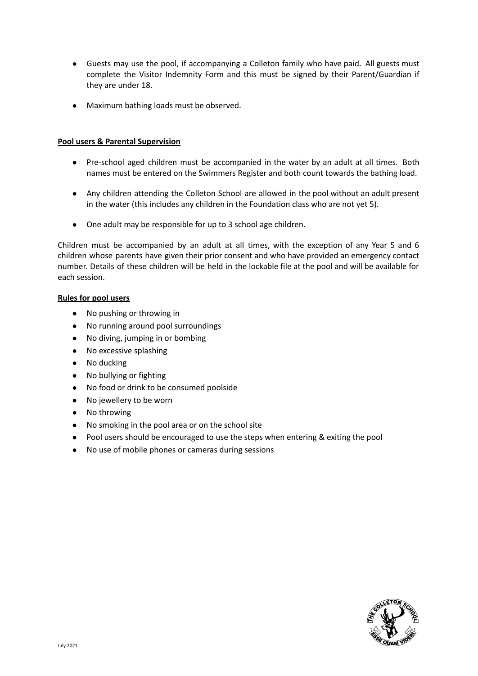- Guests may use the pool, if accompanying a Colleton family who have paid. All guests must complete the Visitor Indemnity Form and this must be signed by their Parent/Guardian if they are under 18.
- Maximum bathing loads must be observed.

#### **Pool users & Parental Supervision**

- Pre-school aged children must be accompanied in the water by an adult at all times. Both names must be entered on the Swimmers Register and both count towards the bathing load.
- Any children attending the Colleton School are allowed in the pool without an adult present in the water (this includes any children in the Foundation class who are not yet 5).
- One adult may be responsible for up to 3 school age children.

Children must be accompanied by an adult at all times, with the exception of any Year 5 and 6 children whose parents have given their prior consent and who have provided an emergency contact number. Details of these children will be held in the lockable file at the pool and will be available for each session.

#### **Rules for pool users**

- No pushing or throwing in
- No running around pool surroundings
- No diving, jumping in or bombing
- No excessive splashing
- No ducking
- No bullying or fighting
- No food or drink to be consumed poolside
- No jewellery to be worn
- No throwing
- No smoking in the pool area or on the school site
- Pool users should be encouraged to use the steps when entering & exiting the pool
- No use of mobile phones or cameras during sessions

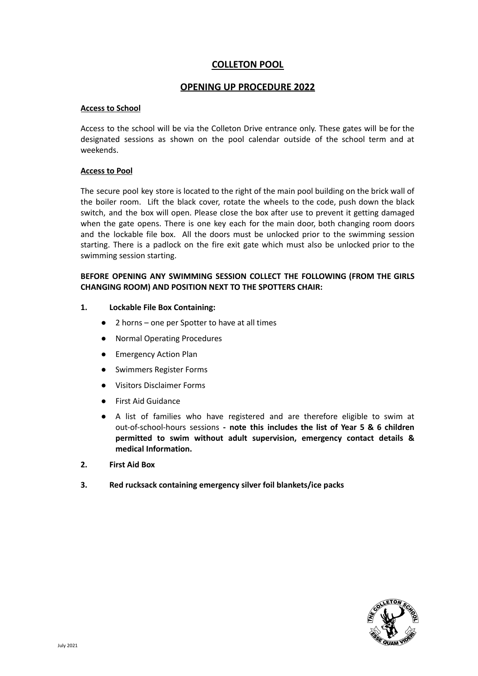# **COLLETON POOL**

#### **OPENING UP PROCEDURE 2022**

#### **Access to School**

Access to the school will be via the Colleton Drive entrance only. These gates will be for the designated sessions as shown on the pool calendar outside of the school term and at weekends.

#### **Access to Pool**

The secure pool key store is located to the right of the main pool building on the brick wall of the boiler room. Lift the black cover, rotate the wheels to the code, push down the black switch, and the box will open. Please close the box after use to prevent it getting damaged when the gate opens. There is one key each for the main door, both changing room doors and the lockable file box. All the doors must be unlocked prior to the swimming session starting. There is a padlock on the fire exit gate which must also be unlocked prior to the swimming session starting.

#### **BEFORE OPENING ANY SWIMMING SESSION COLLECT THE FOLLOWING (FROM THE GIRLS CHANGING ROOM) AND POSITION NEXT TO THE SPOTTERS CHAIR:**

#### **1. Lockable File Box Containing:**

- 2 horns one per Spotter to have at all times
- Normal Operating Procedures
- Emergency Action Plan
- Swimmers Register Forms
- Visitors Disclaimer Forms
- First Aid Guidance
- A list of families who have registered and are therefore eligible to swim at out-of-school-hours sessions **- note this includes the list of Year 5 & 6 children permitted to swim without adult supervision, emergency contact details & medical Information.**
- **2. First Aid Box**
- **3. Red rucksack containing emergency silver foil blankets/ice packs**

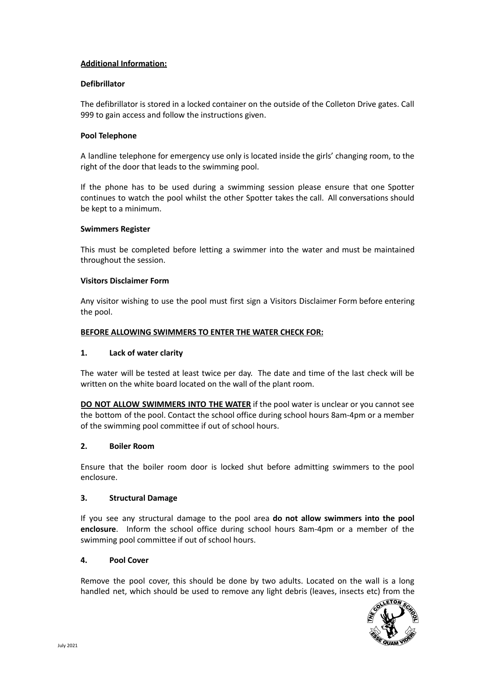#### **Additional Information:**

#### **Defibrillator**

The defibrillator is stored in a locked container on the outside of the Colleton Drive gates. Call 999 to gain access and follow the instructions given.

#### **Pool Telephone**

A landline telephone for emergency use only is located inside the girls' changing room, to the right of the door that leads to the swimming pool.

If the phone has to be used during a swimming session please ensure that one Spotter continues to watch the pool whilst the other Spotter takes the call. All conversations should be kept to a minimum.

#### **Swimmers Register**

This must be completed before letting a swimmer into the water and must be maintained throughout the session.

#### **Visitors Disclaimer Form**

Any visitor wishing to use the pool must first sign a Visitors Disclaimer Form before entering the pool.

#### **BEFORE ALLOWING SWIMMERS TO ENTER THE WATER CHECK FOR:**

#### **1. Lack of water clarity**

The water will be tested at least twice per day. The date and time of the last check will be written on the white board located on the wall of the plant room.

**DO NOT ALLOW SWIMMERS INTO THE WATER** if the pool water is unclear or you cannot see the bottom of the pool. Contact the school office during school hours 8am-4pm or a member of the swimming pool committee if out of school hours.

#### **2. Boiler Room**

Ensure that the boiler room door is locked shut before admitting swimmers to the pool enclosure.

#### **3. Structural Damage**

If you see any structural damage to the pool area **do not allow swimmers into the pool enclosure**. Inform the school office during school hours 8am-4pm or a member of the swimming pool committee if out of school hours.

#### **4. Pool Cover**

Remove the pool cover, this should be done by two adults. Located on the wall is a long handled net, which should be used to remove any light debris (leaves, insects etc) from the

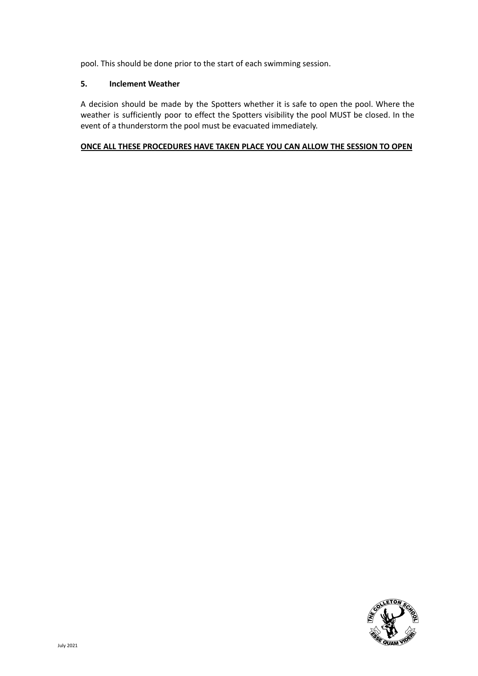pool. This should be done prior to the start of each swimming session.

#### **5. Inclement Weather**

A decision should be made by the Spotters whether it is safe to open the pool. Where the weather is sufficiently poor to effect the Spotters visibility the pool MUST be closed. In the event of a thunderstorm the pool must be evacuated immediately.

#### **ONCE ALL THESE PROCEDURES HAVE TAKEN PLACE YOU CAN ALLOW THE SESSION TO OPEN**

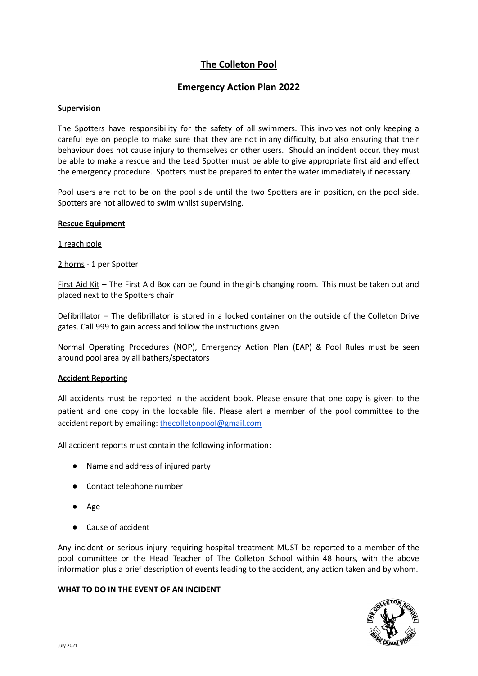# **The Colleton Pool**

# **Emergency Action Plan 2022**

#### **Supervision**

The Spotters have responsibility for the safety of all swimmers. This involves not only keeping a careful eye on people to make sure that they are not in any difficulty, but also ensuring that their behaviour does not cause injury to themselves or other users. Should an incident occur, they must be able to make a rescue and the Lead Spotter must be able to give appropriate first aid and effect the emergency procedure. Spotters must be prepared to enter the water immediately if necessary.

Pool users are not to be on the pool side until the two Spotters are in position, on the pool side. Spotters are not allowed to swim whilst supervising.

#### **Rescue Equipment**

1 reach pole

2 horns - 1 per Spotter

First Aid Kit – The First Aid Box can be found in the girls changing room. This must be taken out and placed next to the Spotters chair

Defibrillator – The defibrillator is stored in a locked container on the outside of the Colleton Drive gates. Call 999 to gain access and follow the instructions given.

Normal Operating Procedures (NOP), Emergency Action Plan (EAP) & Pool Rules must be seen around pool area by all bathers/spectators

#### **Accident Reporting**

All accidents must be reported in the accident book. Please ensure that one copy is given to the patient and one copy in the lockable file. Please alert a member of the pool committee to the accident report by emailing: [thecolletonpool@gmail.com](mailto:thecolletonpool@gmail.com)

All accident reports must contain the following information:

- Name and address of injured party
- Contact telephone number
- Age
- Cause of accident

Any incident or serious injury requiring hospital treatment MUST be reported to a member of the pool committee or the Head Teacher of The Colleton School within 48 hours, with the above information plus a brief description of events leading to the accident, any action taken and by whom.

#### **WHAT TO DO IN THE EVENT OF AN INCIDENT**

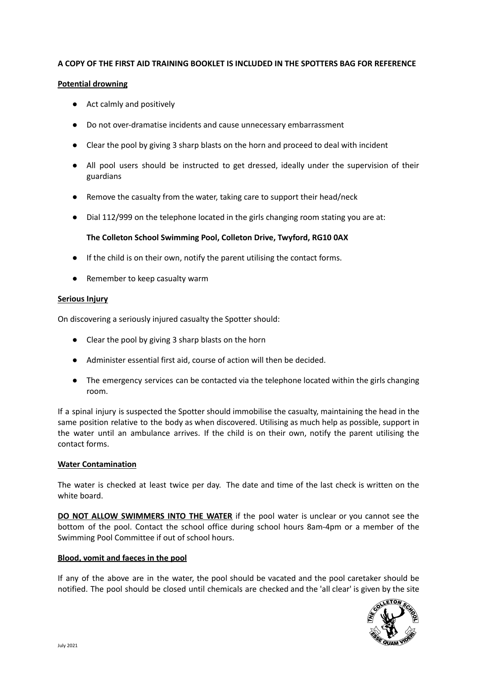#### **A COPY OF THE FIRST AID TRAINING BOOKLET IS INCLUDED IN THE SPOTTERS BAG FOR REFERENCE**

#### **Potential drowning**

- Act calmly and positively
- Do not over-dramatise incidents and cause unnecessary embarrassment
- Clear the pool by giving 3 sharp blasts on the horn and proceed to deal with incident
- All pool users should be instructed to get dressed, ideally under the supervision of their guardians
- Remove the casualty from the water, taking care to support their head/neck
- Dial 112/999 on the telephone located in the girls changing room stating you are at:

# **The Colleton School Swimming Pool, Colleton Drive, Twyford, RG10 0AX**

- If the child is on their own, notify the parent utilising the contact forms.
- Remember to keep casualty warm

#### **Serious Injury**

On discovering a seriously injured casualty the Spotter should:

- Clear the pool by giving 3 sharp blasts on the horn
- Administer essential first aid, course of action will then be decided.
- The emergency services can be contacted via the telephone located within the girls changing room.

If a spinal injury is suspected the Spotter should immobilise the casualty, maintaining the head in the same position relative to the body as when discovered. Utilising as much help as possible, support in the water until an ambulance arrives. If the child is on their own, notify the parent utilising the contact forms.

## **Water Contamination**

The water is checked at least twice per day. The date and time of the last check is written on the white board.

**DO NOT ALLOW SWIMMERS INTO THE WATER** if the pool water is unclear or you cannot see the bottom of the pool. Contact the school office during school hours 8am-4pm or a member of the Swimming Pool Committee if out of school hours.

#### **Blood, vomit and faeces in the pool**

If any of the above are in the water, the pool should be vacated and the pool caretaker should be notified. The pool should be closed until chemicals are checked and the 'all clear' is given by the site

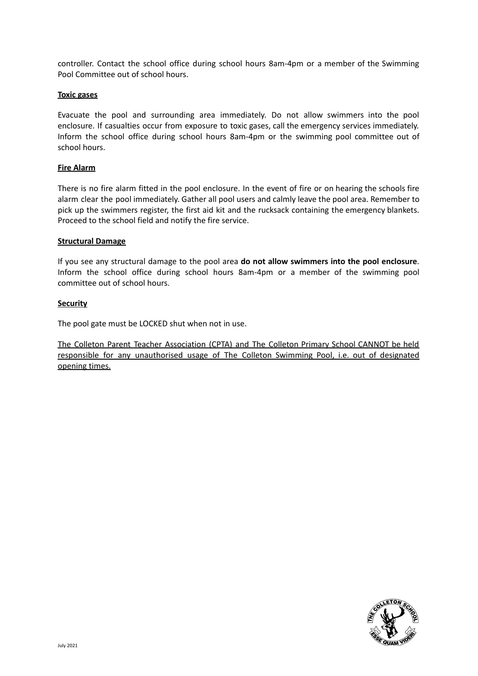controller. Contact the school office during school hours 8am-4pm or a member of the Swimming Pool Committee out of school hours.

#### **Toxic gases**

Evacuate the pool and surrounding area immediately. Do not allow swimmers into the pool enclosure. If casualties occur from exposure to toxic gases, call the emergency services immediately. Inform the school office during school hours 8am-4pm or the swimming pool committee out of school hours.

#### **Fire Alarm**

There is no fire alarm fitted in the pool enclosure. In the event of fire or on hearing the schools fire alarm clear the pool immediately. Gather all pool users and calmly leave the pool area. Remember to pick up the swimmers register, the first aid kit and the rucksack containing the emergency blankets. Proceed to the school field and notify the fire service.

#### **Structural Damage**

If you see any structural damage to the pool area **do not allow swimmers into the pool enclosure**. Inform the school office during school hours 8am-4pm or a member of the swimming pool committee out of school hours.

#### **Security**

The pool gate must be LOCKED shut when not in use.

The Colleton Parent Teacher Association (CPTA) and The Colleton Primary School CANNOT be held responsible for any unauthorised usage of The Colleton Swimming Pool, i.e. out of designated opening times.

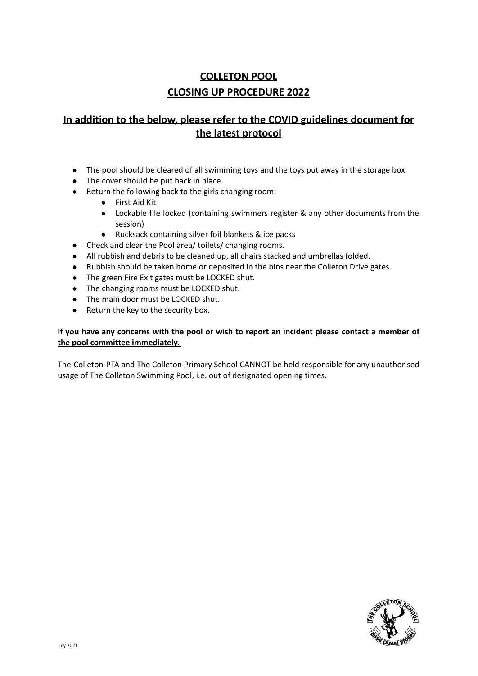# **COLLETON POOL CLOSING UP PROCEDURE 2022**

# **In addition to the below, please refer to the COVID guidelines document for the latest protocol**

- The pool should be cleared of all swimming toys and the toys put away in the storage box.
- The cover should be put back in place.
- Return the following back to the girls changing room:
	- First Aid Kit
	- Lockable file locked (containing swimmers register & any other documents from the session)
	- Rucksack containing silver foil blankets & ice packs
- Check and clear the Pool area/ toilets/ changing rooms.
- All rubbish and debris to be cleaned up, all chairs stacked and umbrellas folded.
- Rubbish should be taken home or deposited in the bins near the Colleton Drive gates.
- The green Fire Exit gates must be LOCKED shut.
- The changing rooms must be LOCKED shut.
- The main door must be LOCKED shut.
- Return the key to the security box.

#### If you have any concerns with the pool or wish to report an incident please contact a member of **the pool committee immediately.**

The Colleton PTA and The Colleton Primary School CANNOT be held responsible for any unauthorised usage of The Colleton Swimming Pool, i.e. out of designated opening times.